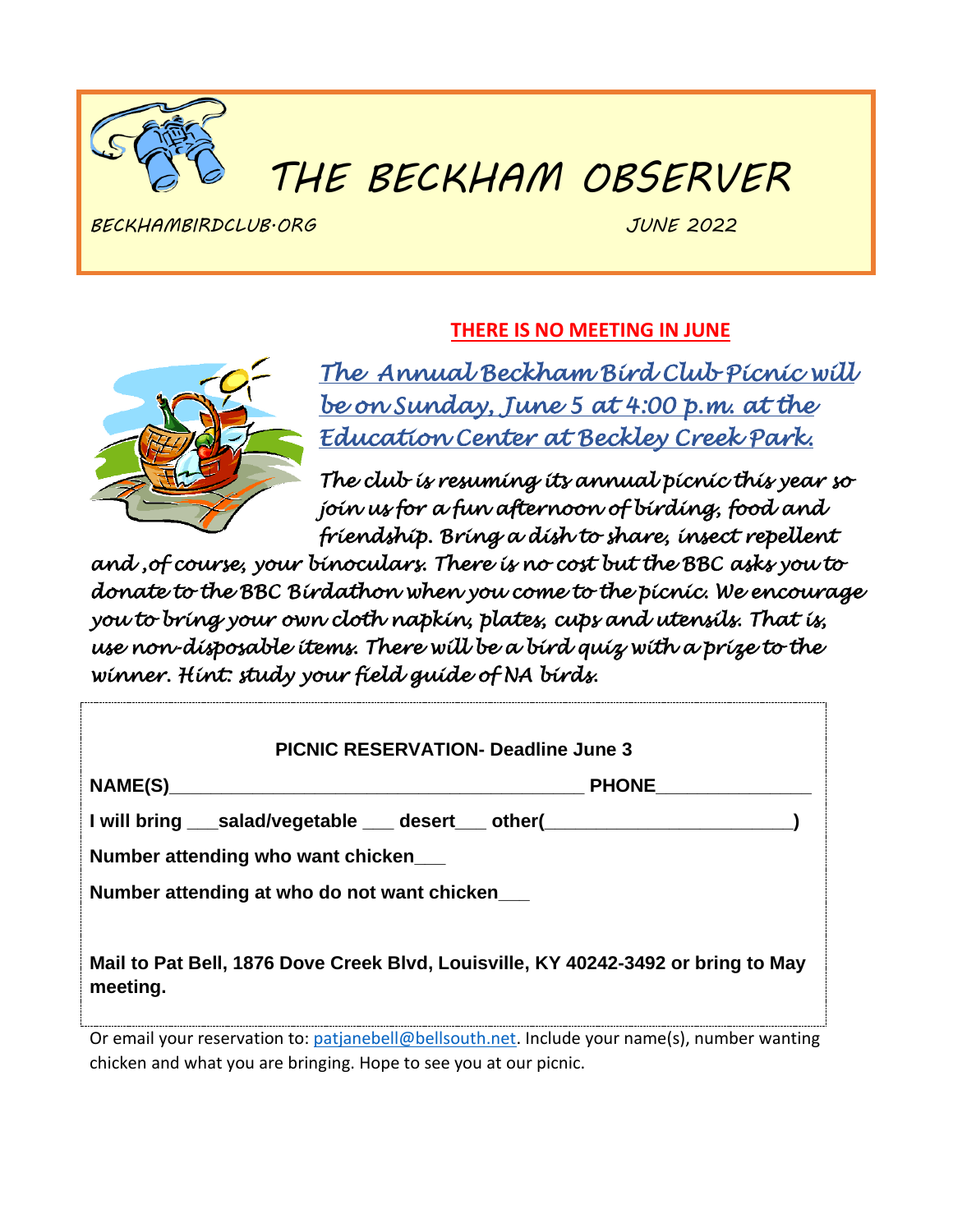

# *THE BECKHAM OBSERVER*

*BECKHAMBIRDCLUB.ORG JUNE 2022*

## **THERE IS NO MEETING IN JUNE**



*The Annual Beckham Bird Club Picnic will be on Sunday, June 5 at 4:00 p.m. at the Education Center at Beckley Creek Park.* 

*The club is resuming its annual picnic this year so join us for a fun afternoon of birding, food and friendship. Bring a dish to share, insect repellent* 

*and ,of course, your binoculars. There is no cost but the BBC asks you to donate to the BBC Birdathon when you come to the picnic. We encourage you to bring your own cloth napkin, plates, cups and utensils. That is, use non-disposable items. There will be a bird quiz with a prize to the winner. Hint: study your field guide of NA birds.* 

| <b>PICNIC RESERVATION- Deadline June 3</b>                                                    |  |
|-----------------------------------------------------------------------------------------------|--|
| NAME(S)<br><b>PHONE</b>                                                                       |  |
| I will bring ___salad/vegetable ___ desert ___ other(___________________________              |  |
| Number attending who want chicken                                                             |  |
| Number attending at who do not want chicken                                                   |  |
| Mail to Pat Bell, 1876 Dove Creek Blvd, Louisville, KY 40242-3492 or bring to May<br>meeting. |  |
| Or email your reservation to: patjanebell@bellsouth.net. Include your name(s), number wanting |  |

chicken and what you are bringing. Hope to see you at our picnic.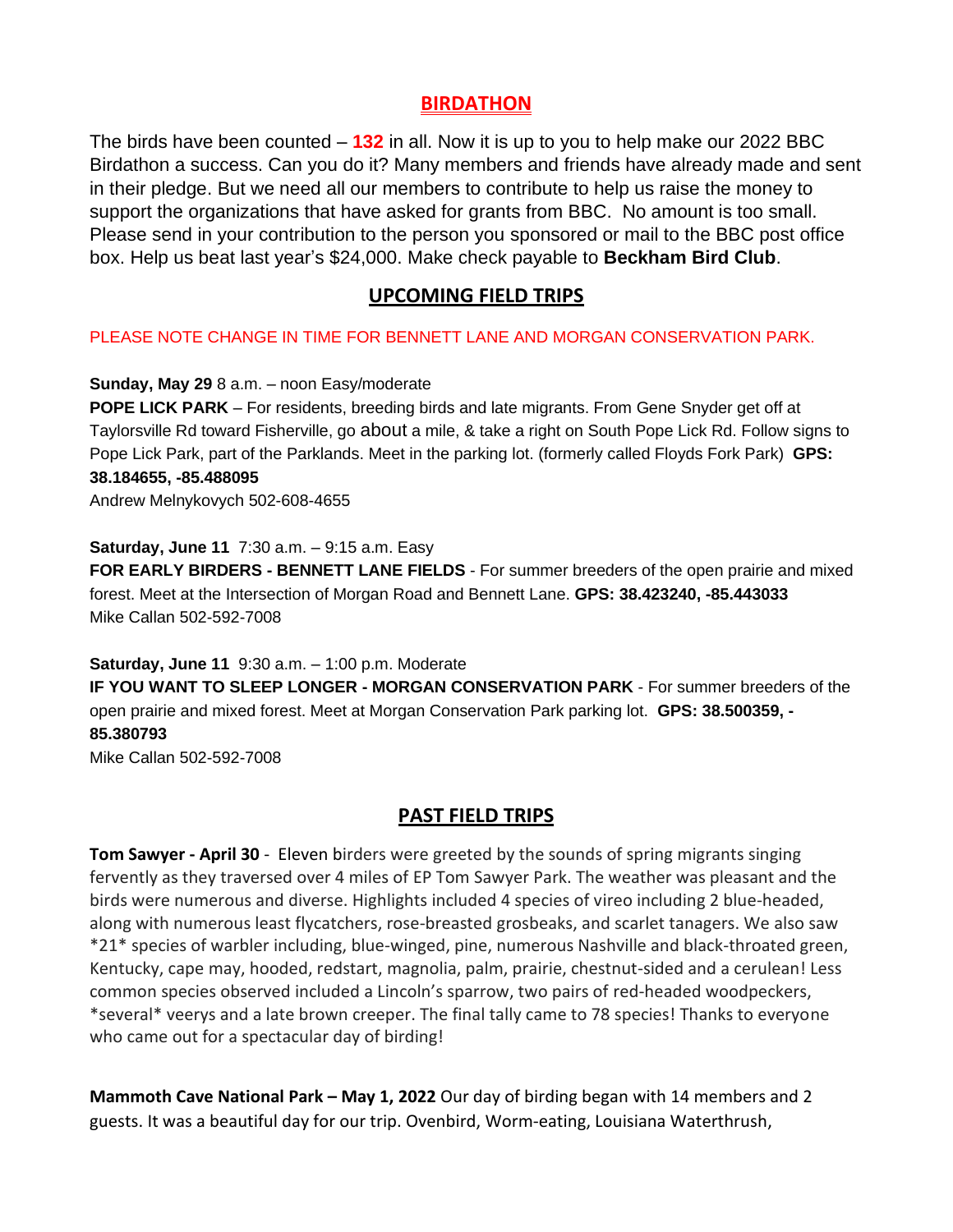#### **BIRDATHON**

The birds have been counted – **132** in all. Now it is up to you to help make our 2022 BBC Birdathon a success. Can you do it? Many members and friends have already made and sent in their pledge. But we need all our members to contribute to help us raise the money to support the organizations that have asked for grants from BBC. No amount is too small. Please send in your contribution to the person you sponsored or mail to the BBC post office box. Help us beat last year's \$24,000. Make check payable to **Beckham Bird Club**.

#### **UPCOMING FIELD TRIPS**

PLEASE NOTE CHANGE IN TIME FOR BENNETT LANE AND MORGAN CONSERVATION PARK.

**Sunday, May 29** 8 a.m. – noon Easy/moderate

**POPE LICK PARK** – For residents, breeding birds and late migrants. From Gene Snyder get off at Taylorsville Rd toward Fisherville, go about a mile, & take a right on South Pope Lick Rd. Follow signs to Pope Lick Park, part of the Parklands. Meet in the parking lot. (formerly called Floyds Fork Park) **GPS: 38.184655, -85.488095**

Andrew Melnykovych 502-608-4655

**Saturday, June 11** 7:30 a.m. – 9:15 a.m. Easy

**FOR EARLY BIRDERS - BENNETT LANE FIELDS** - For summer breeders of the open prairie and mixed forest. Meet at the Intersection of Morgan Road and Bennett Lane. **GPS: 38.423240, -85.443033** Mike Callan 502-592-7008

**Saturday, June 11** 9:30 a.m. – 1:00 p.m. Moderate

**IF YOU WANT TO SLEEP LONGER - MORGAN CONSERVATION PARK** - For summer breeders of the open prairie and mixed forest. Meet at Morgan Conservation Park parking lot. **GPS: 38.500359, - 85.380793** Mike Callan 502-592-7008

**PAST FIELD TRIPS**

**Tom Sawyer - April 30** - Eleven birders were greeted by the sounds of spring migrants singing fervently as they traversed over 4 miles of EP Tom Sawyer Park. The weather was pleasant and the birds were numerous and diverse. Highlights included 4 species of vireo including 2 blue-headed, along with numerous least flycatchers, rose-breasted grosbeaks, and scarlet tanagers. We also saw \*21\* species of warbler including, blue-winged, pine, numerous Nashville and black-throated green, Kentucky, cape may, hooded, redstart, magnolia, palm, prairie, chestnut-sided and a cerulean! Less common species observed included a Lincoln's sparrow, two pairs of red-headed woodpeckers, \*several\* veerys and a late brown creeper. The final tally came to 78 species! Thanks to everyone who came out for a spectacular day of birding!

**Mammoth Cave National Park – May 1, 2022** Our day of birding began with 14 members and 2 guests. It was a beautiful day for our trip. Ovenbird, Worm-eating, Louisiana Waterthrush,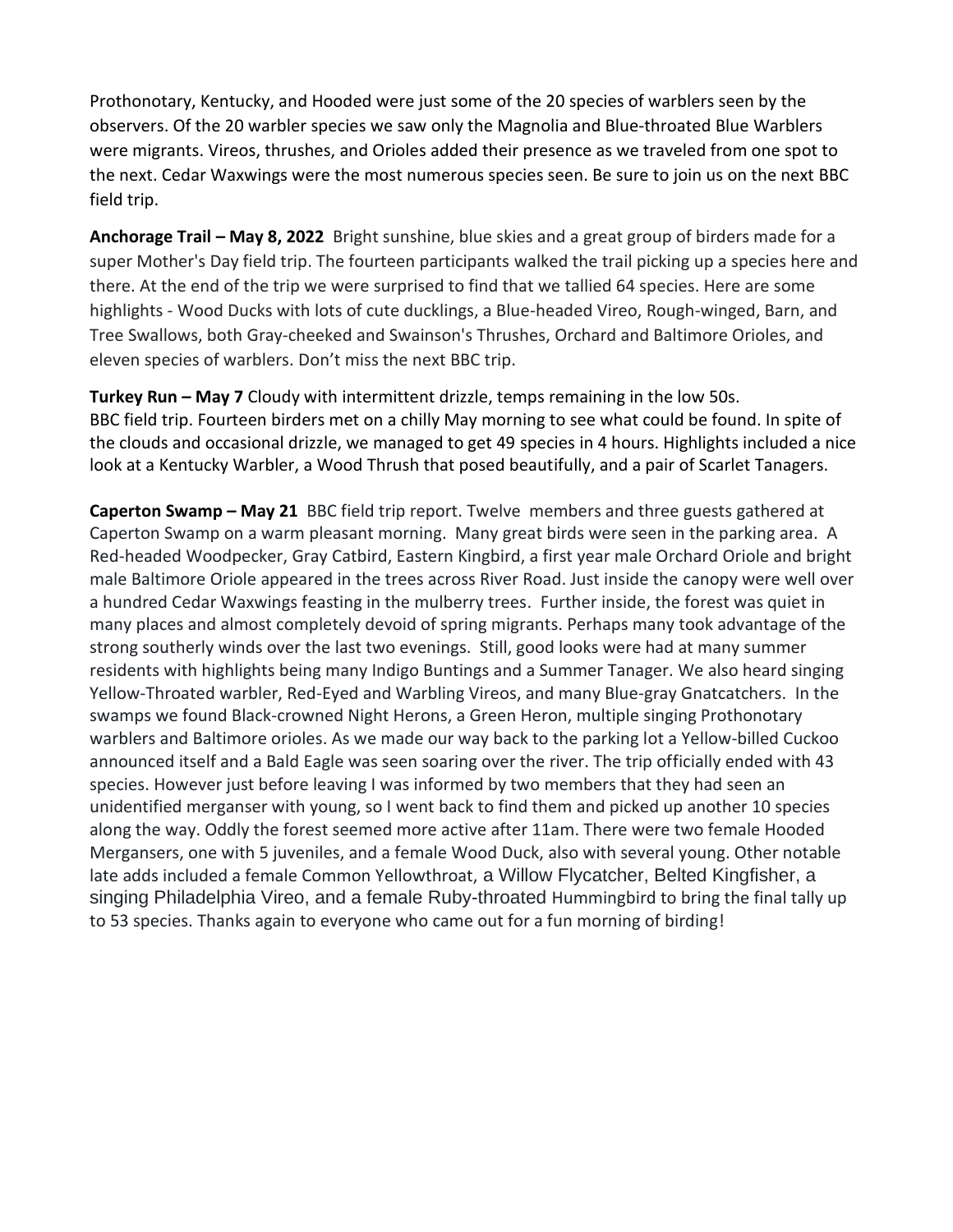Prothonotary, Kentucky, and Hooded were just some of the 20 species of warblers seen by the observers. Of the 20 warbler species we saw only the Magnolia and Blue-throated Blue Warblers were migrants. Vireos, thrushes, and Orioles added their presence as we traveled from one spot to the next. Cedar Waxwings were the most numerous species seen. Be sure to join us on the next BBC field trip.

**Anchorage Trail – May 8, 2022** Bright sunshine, blue skies and a great group of birders made for a super Mother's Day field trip. The fourteen participants walked the trail picking up a species here and there. At the end of the trip we were surprised to find that we tallied 64 species. Here are some highlights - Wood Ducks with lots of cute ducklings, a Blue-headed Vireo, Rough-winged, Barn, and Tree Swallows, both Gray-cheeked and Swainson's Thrushes, Orchard and Baltimore Orioles, and eleven species of warblers. Don't miss the next BBC trip.

**Turkey Run – May 7** Cloudy with intermittent drizzle, temps remaining in the low 50s. BBC field trip. Fourteen birders met on a chilly May morning to see what could be found. In spite of the clouds and occasional drizzle, we managed to get 49 species in 4 hours. Highlights included a nice look at a Kentucky Warbler, a Wood Thrush that posed beautifully, and a pair of Scarlet Tanagers.

**Caperton Swamp – May 21** BBC field trip report. Twelve members and three guests gathered at Caperton Swamp on a warm pleasant morning. Many great birds were seen in the parking area. A Red-headed Woodpecker, Gray Catbird, Eastern Kingbird, a first year male Orchard Oriole and bright male Baltimore Oriole appeared in the trees across River Road. Just inside the canopy were well over a hundred Cedar Waxwings feasting in the mulberry trees. Further inside, the forest was quiet in many places and almost completely devoid of spring migrants. Perhaps many took advantage of the strong southerly winds over the last two evenings. Still, good looks were had at many summer residents with highlights being many Indigo Buntings and a Summer Tanager. We also heard singing Yellow-Throated warbler, Red-Eyed and Warbling Vireos, and many Blue-gray Gnatcatchers. In the swamps we found Black-crowned Night Herons, a Green Heron, multiple singing Prothonotary warblers and Baltimore orioles. As we made our way back to the parking lot a Yellow-billed Cuckoo announced itself and a Bald Eagle was seen soaring over the river. The trip officially ended with 43 species. However just before leaving I was informed by two members that they had seen an unidentified merganser with young, so I went back to find them and picked up another 10 species along the way. Oddly the forest seemed more active after 11am. There were two female Hooded Mergansers, one with 5 juveniles, and a female Wood Duck, also with several young. Other notable late adds included a female Common Yellowthroat, a Willow Flycatcher, Belted Kingfisher, a singing Philadelphia Vireo, and a female Ruby-throated Hummingbird to bring the final tally up to 53 species. Thanks again to everyone who came out for a fun morning of birding!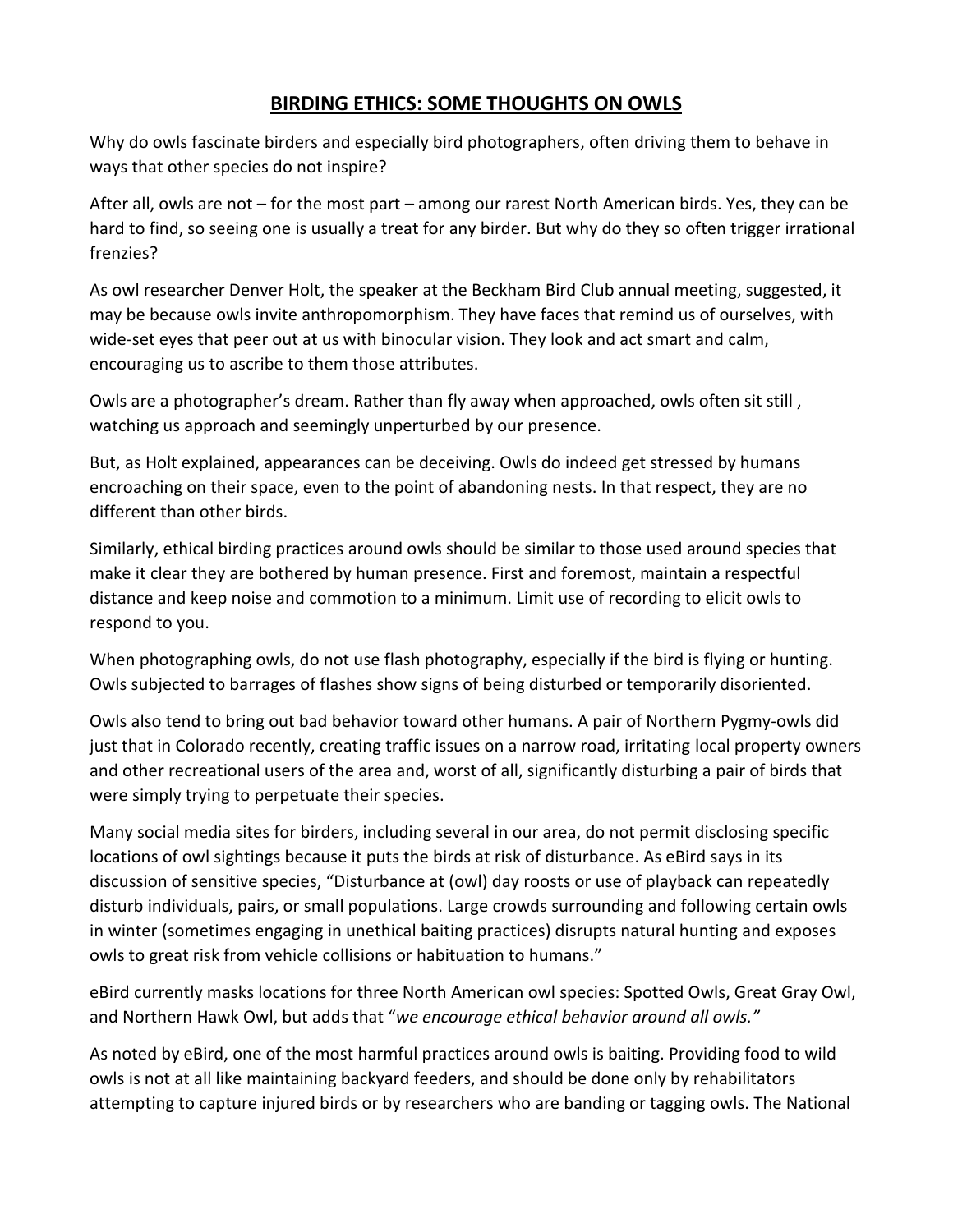#### **BIRDING ETHICS: SOME THOUGHTS ON OWLS**

Why do owls fascinate birders and especially bird photographers, often driving them to behave in ways that other species do not inspire?

After all, owls are not – for the most part – among our rarest North American birds. Yes, they can be hard to find, so seeing one is usually a treat for any birder. But why do they so often trigger irrational frenzies?

As owl researcher Denver Holt, the speaker at the Beckham Bird Club annual meeting, suggested, it may be because owls invite anthropomorphism. They have faces that remind us of ourselves, with wide-set eyes that peer out at us with binocular vision. They look and act smart and calm, encouraging us to ascribe to them those attributes.

Owls are a photographer's dream. Rather than fly away when approached, owls often sit still , watching us approach and seemingly unperturbed by our presence.

But, as Holt explained, appearances can be deceiving. Owls do indeed get stressed by humans encroaching on their space, even to the point of abandoning nests. In that respect, they are no different than other birds.

Similarly, ethical birding practices around owls should be similar to those used around species that make it clear they are bothered by human presence. First and foremost, maintain a respectful distance and keep noise and commotion to a minimum. Limit use of recording to elicit owls to respond to you.

When photographing owls, do not use flash photography, especially if the bird is flying or hunting. Owls subjected to barrages of flashes show signs of being disturbed or temporarily disoriented.

Owls also tend to bring out bad behavior toward other humans. A pair of Northern Pygmy-owls did just that in Colorado recently, creating traffic issues on a narrow road, irritating local property owners and other recreational users of the area and, worst of all, significantly disturbing a pair of birds that were simply trying to perpetuate their species.

Many social media sites for birders, including several in our area, do not permit disclosing specific locations of owl sightings because it puts the birds at risk of disturbance. As eBird says in its discussion of sensitive species, "Disturbance at (owl) day roosts or use of playback can repeatedly disturb individuals, pairs, or small populations. Large crowds surrounding and following certain owls in winter (sometimes engaging in unethical baiting practices) disrupts natural hunting and exposes owls to great risk from vehicle collisions or habituation to humans."

eBird currently masks locations for three North American owl species: Spotted Owls, Great Gray Owl, and Northern Hawk Owl, but adds that "*we encourage ethical behavior around all owls."*

As noted by eBird, one of the most harmful practices around owls is baiting. Providing food to wild owls is not at all like maintaining backyard feeders, and should be done only by rehabilitators attempting to capture injured birds or by researchers who are banding or tagging owls. The National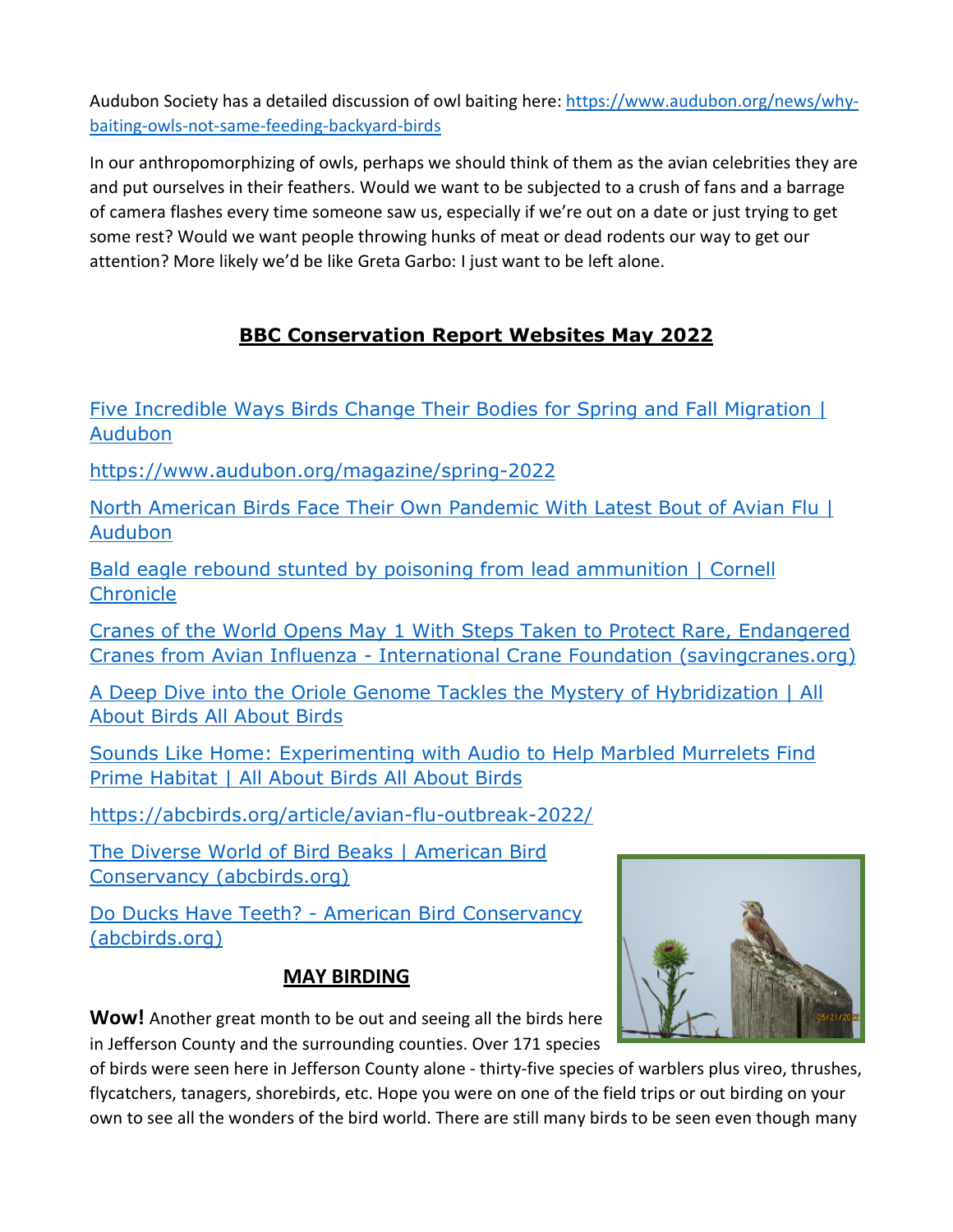Audubon Society has a detailed discussion of owl baiting here: https://www.audubon.org/news/whybaiting-owls-not-same-feeding-backyard-birds

In our anthropomorphizing of owls, perhaps we should think of them as the avian celebrities they are and put ourselves in their feathers. Would we want to be subjected to a crush of fans and a barrage of camera flashes every time someone saw us, especially if we're out on a date or just trying to get some rest? Would we want people throwing hunks of meat or dead rodents our way to get our attention? More likely we'd be like Greta Garbo: I just want to be left alone.

# **BBC Conservation Report Websites May 2022**

Five Incredible Ways Birds Change Their Bodies for Spring and Fall Migration | Audubon

https://www.audubon.org/magazine/spring-2022

North American Birds Face Their Own Pandemic With Latest Bout of Avian Flu | Audubon

Bald eagle rebound stunted by poisoning from lead ammunition | Cornell **Chronicle** 

Cranes of the World Opens May 1 With Steps Taken to Protect Rare, Endangered Cranes from Avian Influenza - International Crane Foundation (savingcranes.org)

A Deep Dive into the Oriole Genome Tackles the Mystery of Hybridization | All About Birds All About Birds

Sounds Like Home: Experimenting with Audio to Help Marbled Murrelets Find Prime Habitat | All About Birds All About Birds

https://abcbirds.org/article/avian-flu-outbreak-2022/

The Diverse World of Bird Beaks | American Bird Conservancy (abcbirds.org)

Do Ducks Have Teeth? - American Bird Conservancy (abcbirds.org)

### **MAY BIRDING**



**Wow!** Another great month to be out and seeing all the birds here in Jefferson County and the surrounding counties. Over 171 species

of birds were seen here in Jefferson County alone - thirty-five species of warblers plus vireo, thrushes, flycatchers, tanagers, shorebirds, etc. Hope you were on one of the field trips or out birding on your own to see all the wonders of the bird world. There are still many birds to be seen even though many